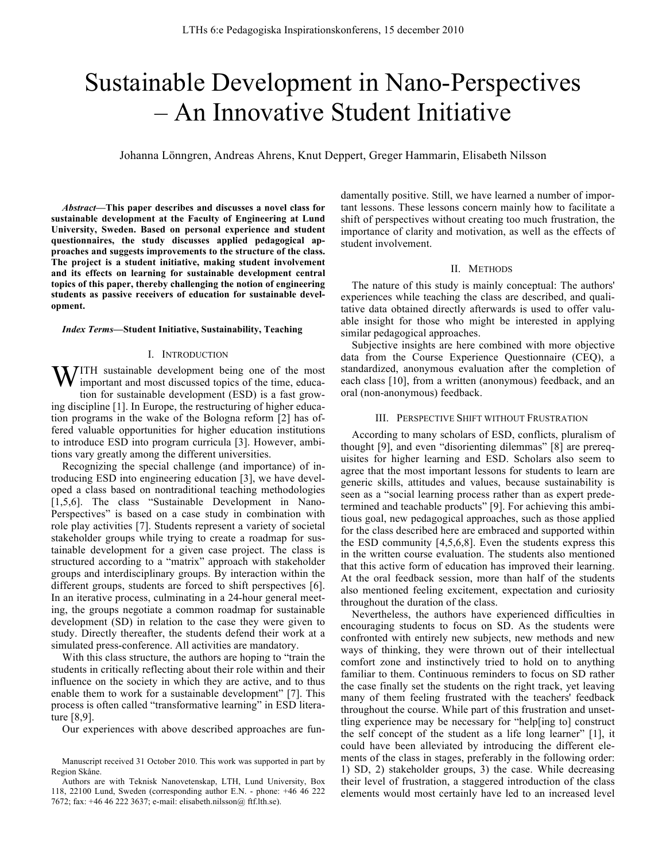# Sustainable Development in Nano-Perspectives – An Innovative Student Initiative

Johanna Lönngren, Andreas Ahrens, Knut Deppert, Greger Hammarin, Elisabeth Nilsson

*Abstract***—This paper describes and discusses a novel class for sustainable development at the Faculty of Engineering at Lund University, Sweden. Based on personal experience and student questionnaires, the study discusses applied pedagogical approaches and suggests improvements to the structure of the class. The project is a student initiative, making student involvement and its effects on learning for sustainable development central topics of this paper, thereby challenging the notion of engineering students as passive receivers of education for sustainable development.**

#### *Index Terms***—Student Initiative, Sustainability, Teaching**

## I. INTRODUCTION

**WITH** sustainable development being one of the most important and most discussed topics of the time, educaimportant and most discussed topics of the time, education for sustainable development (ESD) is a fast growing discipline [1]. In Europe, the restructuring of higher education programs in the wake of the Bologna reform [2] has offered valuable opportunities for higher education institutions to introduce ESD into program curricula [3]. However, ambitions vary greatly among the different universities.

Recognizing the special challenge (and importance) of introducing ESD into engineering education [3], we have developed a class based on nontraditional teaching methodologies [1,5,6]. The class "Sustainable Development in Nano-Perspectives" is based on a case study in combination with role play activities [7]. Students represent a variety of societal stakeholder groups while trying to create a roadmap for sustainable development for a given case project. The class is structured according to a "matrix" approach with stakeholder groups and interdisciplinary groups. By interaction within the different groups, students are forced to shift perspectives [6]. In an iterative process, culminating in a 24-hour general meeting, the groups negotiate a common roadmap for sustainable development (SD) in relation to the case they were given to study. Directly thereafter, the students defend their work at a simulated press-conference. All activities are mandatory.

With this class structure, the authors are hoping to "train the students in critically reflecting about their role within and their influence on the society in which they are active, and to thus enable them to work for a sustainable development" [7]. This process is often called "transformative learning" in ESD literature [8,9].

Our experiences with above described approaches are fun-

damentally positive. Still, we have learned a number of important lessons. These lessons concern mainly how to facilitate a shift of perspectives without creating too much frustration, the importance of clarity and motivation, as well as the effects of student involvement.

## II. METHODS

The nature of this study is mainly conceptual: The authors' experiences while teaching the class are described, and qualitative data obtained directly afterwards is used to offer valuable insight for those who might be interested in applying similar pedagogical approaches.

Subjective insights are here combined with more objective data from the Course Experience Questionnaire (CEQ), a standardized, anonymous evaluation after the completion of each class [10], from a written (anonymous) feedback, and an oral (non-anonymous) feedback.

## III. PERSPECTIVE SHIFT WITHOUT FRUSTRATION

According to many scholars of ESD, conflicts, pluralism of thought [9], and even "disorienting dilemmas" [8] are prerequisites for higher learning and ESD. Scholars also seem to agree that the most important lessons for students to learn are generic skills, attitudes and values, because sustainability is seen as a "social learning process rather than as expert predetermined and teachable products" [9]. For achieving this ambitious goal, new pedagogical approaches, such as those applied for the class described here are embraced and supported within the ESD community [4,5,6,8]. Even the students express this in the written course evaluation. The students also mentioned that this active form of education has improved their learning. At the oral feedback session, more than half of the students also mentioned feeling excitement, expectation and curiosity throughout the duration of the class.

Nevertheless, the authors have experienced difficulties in encouraging students to focus on SD. As the students were confronted with entirely new subjects, new methods and new ways of thinking, they were thrown out of their intellectual comfort zone and instinctively tried to hold on to anything familiar to them. Continuous reminders to focus on SD rather the case finally set the students on the right track, yet leaving many of them feeling frustrated with the teachers' feedback throughout the course. While part of this frustration and unsettling experience may be necessary for "help[ing to] construct the self concept of the student as a life long learner" [1], it could have been alleviated by introducing the different elements of the class in stages, preferably in the following order: 1) SD, 2) stakeholder groups, 3) the case. While decreasing their level of frustration, a staggered introduction of the class elements would most certainly have led to an increased level

Manuscript received 31 October 2010. This work was supported in part by Region Skåne.

Authors are with Teknisk Nanovetenskap, LTH, Lund University, Box 118, 22100 Lund, Sweden (corresponding author E.N. - phone: +46 46 222 7672; fax: +46 46 222 3637; e-mail: elisabeth.nilsson@ ftf.lth.se).